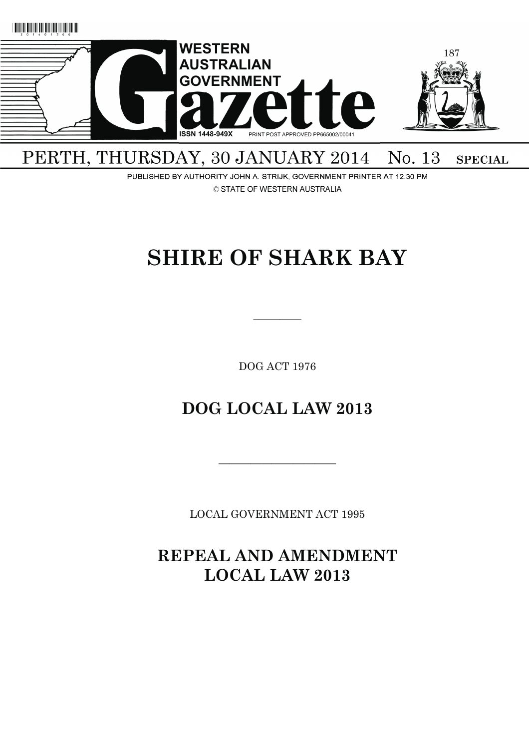

## PERTH, THURSDAY, 30 JANUARY 2014 No. 13 **SPECIAL**

PUBLISHED BY AUTHORITY JOHN A. STRIJK, GOVERNMENT PRINTER AT 12.30 PM © STATE OF WESTERN AUSTRALIA

# **SHIRE OF SHARK BAY**

DOG ACT 1976

 $\overline{\phantom{a}}$   $\overline{\phantom{a}}$ 

## **DOG LOCAL LAW 2013**

LOCAL GOVERNMENT ACT 1995

———————————

**REPEAL AND AMENDMENT LOCAL LAW 2013**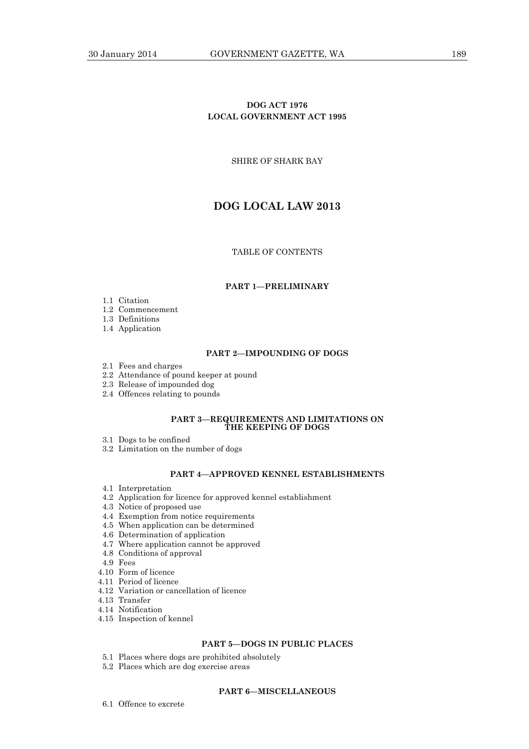## **DOG ACT 1976 LOCAL GOVERNMENT ACT 1995**

SHIRE OF SHARK BAY

## **DOG LOCAL LAW 2013**

## TABLE OF CONTENTS

## **PART 1—PRELIMINARY**

- 1.1 Citation
- 1.2 Commencement
- 1.3 Definitions
- 1.4 Application

#### **PART 2—IMPOUNDING OF DOGS**

- 2.1 Fees and charges
- 2.2 Attendance of pound keeper at pound
- 2.3 Release of impounded dog
- 2.4 Offences relating to pounds

#### **PART 3—REQUIREMENTS AND LIMITATIONS ON THE KEEPING OF DOGS**

- 3.1 Dogs to be confined
- 3.2 Limitation on the number of dogs

## **PART 4—APPROVED KENNEL ESTABLISHMENTS**

- 4.1 Interpretation
- 4.2 Application for licence for approved kennel establishment
- 4.3 Notice of proposed use
- 4.4 Exemption from notice requirements
- 4.5 When application can be determined
- 4.6 Determination of application
- 4.7 Where application cannot be approved
- 4.8 Conditions of approval
- 4.9 Fees
- 4.10 Form of licence
- 4.11 Period of licence
- 4.12 Variation or cancellation of licence
- 4.13 Transfer
- 4.14 Notification
- 4.15 Inspection of kennel

## **PART 5—DOGS IN PUBLIC PLACES**

- 5.1 Places where dogs are prohibited absolutely
- 5.2 Places which are dog exercise areas

## **PART 6—MISCELLANEOUS**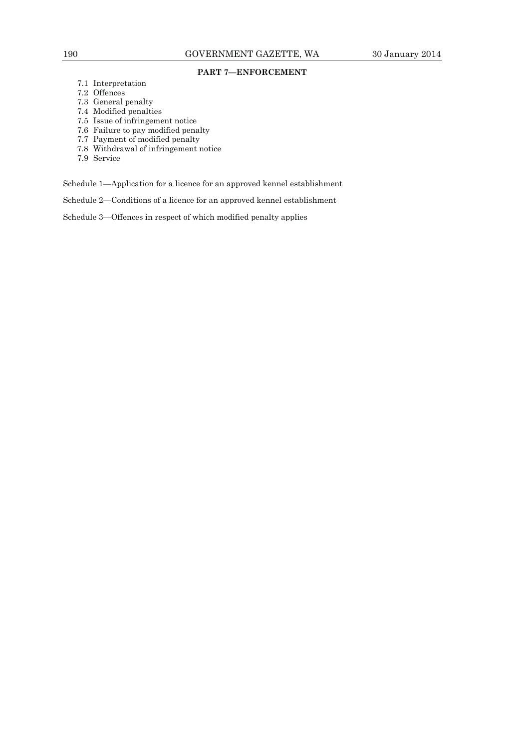## **PART 7—ENFORCEMENT**

- 7.1 Interpretation
- 7.2 Offences
- 7.3 General penalty
- 7.4 Modified penalties
- 7.5 Issue of infringement notice
- 7.6 Failure to pay modified penalty
- 7.7 Payment of modified penalty
- 7.8 Withdrawal of infringement notice
- 7.9 Service

Schedule 1—Application for a licence for an approved kennel establishment

Schedule 2—Conditions of a licence for an approved kennel establishment

Schedule 3—Offences in respect of which modified penalty applies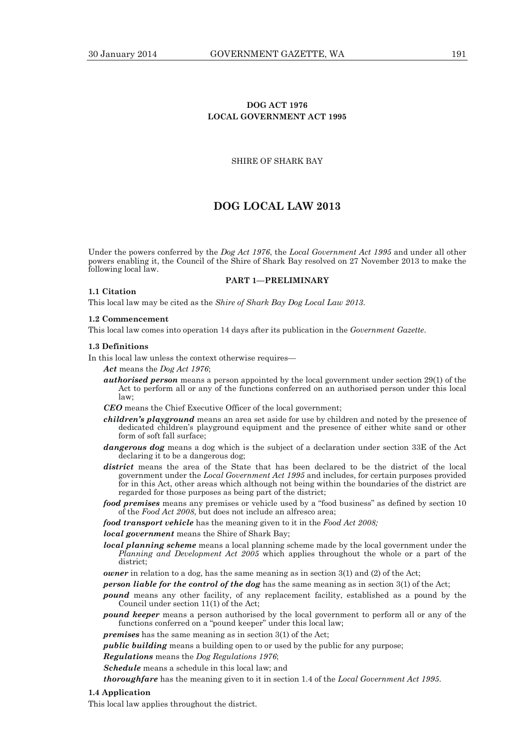## **DOG ACT 1976 LOCAL GOVERNMENT ACT 1995**

## SHIRE OF SHARK BAY

## **DOG LOCAL LAW 2013**

Under the powers conferred by the *Dog Act 1976*, the *Local Government Act 1995* and under all other powers enabling it, the Council of the Shire of Shark Bay resolved on 27 November 2013 to make the following local law.

## **PART 1—PRELIMINARY**

#### **1.1 Citation**

This local law may be cited as the *Shire of Shark Bay Dog Local Law 2013*.

#### **1.2 Commencement**

This local law comes into operation 14 days after its publication in the *Government Gazette*.

#### **1.3 Definitions**

In this local law unless the context otherwise requires—

- *Act* means the *Dog Act 1976*;
- *authorised person* means a person appointed by the local government under section 29(1) of the Act to perform all or any of the functions conferred on an authorised person under this local law;
- *CEO* means the Chief Executive Officer of the local government;
- *children's playground* means an area set aside for use by children and noted by the presence of dedicated children's playground equipment and the presence of either white sand or other form of soft fall surface;
- *dangerous dog* means a dog which is the subject of a declaration under section 33E of the Act declaring it to be a dangerous dog;
- *district* means the area of the State that has been declared to be the district of the local government under the *Local Government Act 1995* and includes, for certain purposes provided for in this Act, other areas which although not being within the boundaries of the district are regarded for those purposes as being part of the district;
- *food premises* means any premises or vehicle used by a "food business" as defined by section 10 of the *Food Act 2008*, but does not include an alfresco area;

*food transport vehicle* has the meaning given to it in the *Food Act 2008;* 

*local government* means the Shire of Shark Bay;

- *local planning scheme* means a local planning scheme made by the local government under the *Planning and Development Act 2005* which applies throughout the whole or a part of the district;
- *owner* in relation to a dog, has the same meaning as in section 3(1) and (2) of the Act;

*person liable for the control of the dog* has the same meaning as in section 3(1) of the Act;

- *pound* means any other facility, of any replacement facility, established as a pound by the Council under section 11(1) of the Act;
- *pound keeper* means a person authorised by the local government to perform all or any of the functions conferred on a "pound keeper" under this local law;

*premises* has the same meaning as in section 3(1) of the Act;

*public building* means a building open to or used by the public for any purpose;

*Regulations* means the *Dog Regulations 1976*;

*Schedule* means a schedule in this local law; and

*thoroughfare* has the meaning given to it in section 1.4 of the *Local Government Act 1995*.

#### **1.4 Application**

This local law applies throughout the district.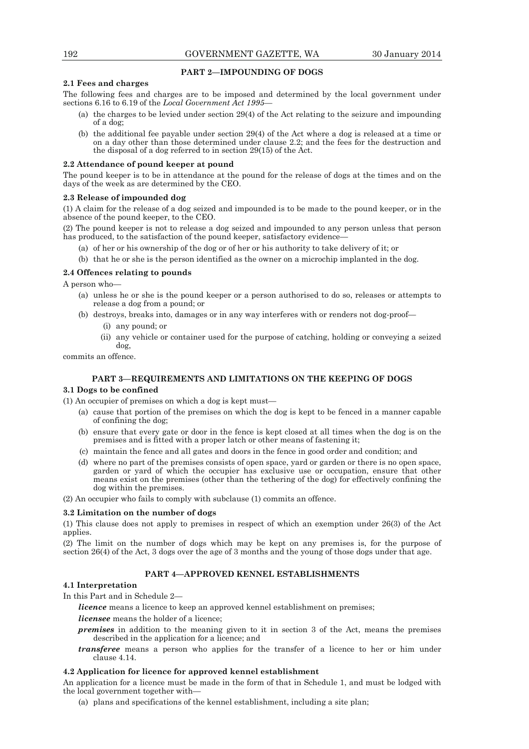## **PART 2—IMPOUNDING OF DOGS**

## **2.1 Fees and charges**

The following fees and charges are to be imposed and determined by the local government under sections 6.16 to 6.19 of the *Local Government Act 1995*—

- (a) the charges to be levied under section 29(4) of the Act relating to the seizure and impounding of a dog;
- (b) the additional fee payable under section 29(4) of the Act where a dog is released at a time or on a day other than those determined under clause 2.2; and the fees for the destruction and the disposal of a dog referred to in section 29(15) of the Act.

## **2.2 Attendance of pound keeper at pound**

The pound keeper is to be in attendance at the pound for the release of dogs at the times and on the days of the week as are determined by the CEO.

## **2.3 Release of impounded dog**

(1) A claim for the release of a dog seized and impounded is to be made to the pound keeper, or in the absence of the pound keeper, to the CEO.

(2) The pound keeper is not to release a dog seized and impounded to any person unless that person has produced, to the satisfaction of the pound keeper, satisfactory evidence-

- (a) of her or his ownership of the dog or of her or his authority to take delivery of it; or
- (b) that he or she is the person identified as the owner on a microchip implanted in the dog.

## **2.4 Offences relating to pounds**

A person who—

- (a) unless he or she is the pound keeper or a person authorised to do so, releases or attempts to release a dog from a pound; or
- (b) destroys, breaks into, damages or in any way interferes with or renders not dog-proof—
	- (i) any pound; or
	- (ii) any vehicle or container used for the purpose of catching, holding or conveying a seized dog,

commits an offence.

## **PART 3—REQUIREMENTS AND LIMITATIONS ON THE KEEPING OF DOGS**

## **3.1 Dogs to be confined**

(1) An occupier of premises on which a dog is kept must—

- (a) cause that portion of the premises on which the dog is kept to be fenced in a manner capable of confining the dog;
- (b) ensure that every gate or door in the fence is kept closed at all times when the dog is on the premises and is fitted with a proper latch or other means of fastening it;
- (c) maintain the fence and all gates and doors in the fence in good order and condition; and
- (d) where no part of the premises consists of open space, yard or garden or there is no open space, garden or yard of which the occupier has exclusive use or occupation, ensure that other means exist on the premises (other than the tethering of the dog) for effectively confining the dog within the premises.

(2) An occupier who fails to comply with subclause (1) commits an offence.

## **3.2 Limitation on the number of dogs**

(1) This clause does not apply to premises in respect of which an exemption under 26(3) of the Act applies.

(2) The limit on the number of dogs which may be kept on any premises is, for the purpose of section 26(4) of the Act, 3 dogs over the age of 3 months and the young of those dogs under that age.

## **PART 4—APPROVED KENNEL ESTABLISHMENTS**

#### **4.1 Interpretation**

In this Part and in Schedule 2—

*licence* means a licence to keep an approved kennel establishment on premises;

*licensee* means the holder of a licence;

- *premises* in addition to the meaning given to it in section 3 of the Act, means the premises described in the application for a licence; and
- *transferee* means a person who applies for the transfer of a licence to her or him under clause 4.14.

## **4.2 Application for licence for approved kennel establishment**

An application for a licence must be made in the form of that in Schedule 1, and must be lodged with the local government together with—

(a) plans and specifications of the kennel establishment, including a site plan;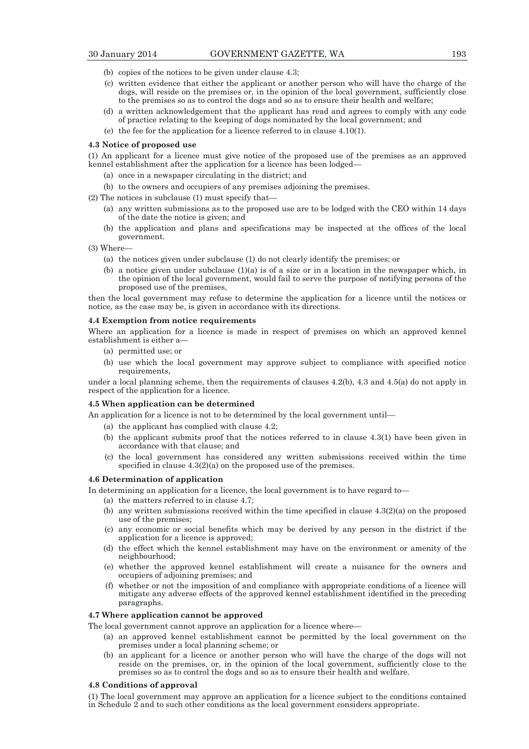- (b) copies of the notices to be given under clause 4.3;
- (c) written evidence that either the applicant or another person who will have the charge of the dogs, will reside on the premises or, in the opinion of the local government, sufficiently close to the premises so as to control the dogs and so as to ensure their health and welfare;
- (d) a written acknowledgement that the applicant has read and agrees to comply with any code of practice relating to the keeping of dogs nominated by the local government; and
- (e) the fee for the application for a licence referred to in clause 4.10(1).

#### **4.3 Notice of proposed use**

(1) An applicant for a licence must give notice of the proposed use of the premises as an approved kennel establishment after the application for a licence has been lodged—

- (a) once in a newspaper circulating in the district; and
- (b) to the owners and occupiers of any premises adjoining the premises.
- (2) The notices in subclause (1) must specify that—
	- (a) any written submissions as to the proposed use are to be lodged with the CEO within 14 days of the date the notice is given; and
	- (b) the application and plans and specifications may be inspected at the offices of the local government.
- (3) Where—
	- (a) the notices given under subclause (1) do not clearly identify the premises; or
	- (b) a notice given under subclause  $(1)(a)$  is of a size or in a location in the newspaper which, in the opinion of the local government, would fail to serve the purpose of notifying persons of the proposed use of the premises,

then the local government may refuse to determine the application for a licence until the notices or notice, as the case may be, is given in accordance with its directions.

#### **4.4 Exemption from notice requirements**

Where an application for a licence is made in respect of premises on which an approved kennel establishment is either a—

- (a) permitted use; or
- (b) use which the local government may approve subject to compliance with specified notice requirements,

under a local planning scheme, then the requirements of clauses 4.2(b), 4.3 and 4.5(a) do not apply in respect of the application for a licence.

## **4.5 When application can be determined**

An application for a licence is not to be determined by the local government until—

- (a) the applicant has complied with clause 4.2;
- (b) the applicant submits proof that the notices referred to in clause 4.3(1) have been given in accordance with that clause; and
- (c) the local government has considered any written submissions received within the time specified in clause 4.3(2)(a) on the proposed use of the premises.

## **4.6 Determination of application**

In determining an application for a licence, the local government is to have regard to—

- (a) the matters referred to in clause 4.7;
- (b) any written submissions received within the time specified in clause  $4.3(2)(a)$  on the proposed use of the premises;
- (c) any economic or social benefits which may be derived by any person in the district if the application for a licence is approved;
- (d) the effect which the kennel establishment may have on the environment or amenity of the neighbourhood;
- (e) whether the approved kennel establishment will create a nuisance for the owners and occupiers of adjoining premises; and
- (f) whether or not the imposition of and compliance with appropriate conditions of a licence will mitigate any adverse effects of the approved kennel establishment identified in the preceding paragraphs.

## **4.7 Where application cannot be approved**

The local government cannot approve an application for a licence where—

- (a) an approved kennel establishment cannot be permitted by the local government on the premises under a local planning scheme; or
- (b) an applicant for a licence or another person who will have the charge of the dogs will not reside on the premises, or, in the opinion of the local government, sufficiently close to the premises so as to control the dogs and so as to ensure their health and welfare.

#### **4.8 Conditions of approval**

(1) The local government may approve an application for a licence subject to the conditions contained in Schedule 2 and to such other conditions as the local government considers appropriate.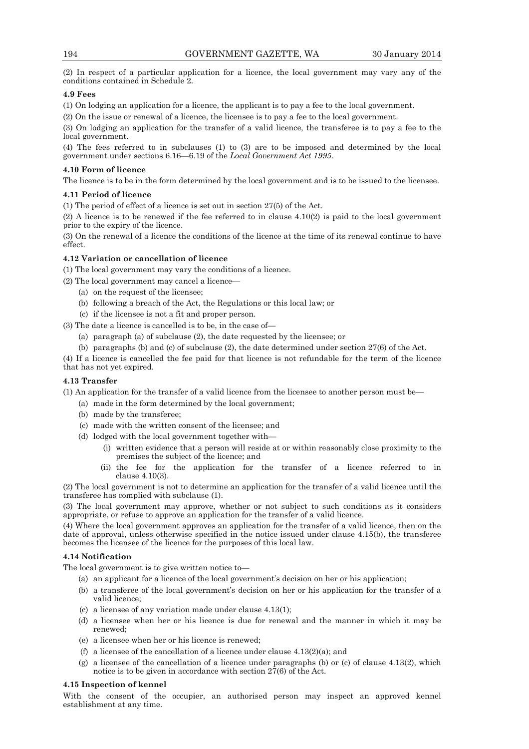(2) In respect of a particular application for a licence, the local government may vary any of the conditions contained in Schedule 2.

## **4.9 Fees**

(1) On lodging an application for a licence, the applicant is to pay a fee to the local government.

(2) On the issue or renewal of a licence, the licensee is to pay a fee to the local government.

(3) On lodging an application for the transfer of a valid licence, the transferee is to pay a fee to the local government.

(4) The fees referred to in subclauses (1) to (3) are to be imposed and determined by the local government under sections 6.16—6.19 of the *Local Government Act 1995*.

## **4.10 Form of licence**

The licence is to be in the form determined by the local government and is to be issued to the licensee.

## **4.11 Period of licence**

(1) The period of effect of a licence is set out in section 27(5) of the Act.

(2) A licence is to be renewed if the fee referred to in clause 4.10(2) is paid to the local government prior to the expiry of the licence.

(3) On the renewal of a licence the conditions of the licence at the time of its renewal continue to have effect.

## **4.12 Variation or cancellation of licence**

(1) The local government may vary the conditions of a licence.

(2) The local government may cancel a licence—

- (a) on the request of the licensee;
- (b) following a breach of the Act, the Regulations or this local law; or
- (c) if the licensee is not a fit and proper person.
- (3) The date a licence is cancelled is to be, in the case of—
	- (a) paragraph (a) of subclause (2), the date requested by the licensee; or
	- (b) paragraphs (b) and (c) of subclause (2), the date determined under section 27(6) of the Act.

(4) If a licence is cancelled the fee paid for that licence is not refundable for the term of the licence that has not yet expired.

#### **4.13 Transfer**

(1) An application for the transfer of a valid licence from the licensee to another person must be—

- (a) made in the form determined by the local government;
- (b) made by the transferee;
- (c) made with the written consent of the licensee; and
- (d) lodged with the local government together with—
	- (i) written evidence that a person will reside at or within reasonably close proximity to the premises the subject of the licence; and
	- (ii) the fee for the application for the transfer of a licence referred to in clause 4.10(3).

(2) The local government is not to determine an application for the transfer of a valid licence until the transferee has complied with subclause (1).

(3) The local government may approve, whether or not subject to such conditions as it considers appropriate, or refuse to approve an application for the transfer of a valid licence.

(4) Where the local government approves an application for the transfer of a valid licence, then on the date of approval, unless otherwise specified in the notice issued under clause 4.15(b), the transferee becomes the licensee of the licence for the purposes of this local law.

## **4.14 Notification**

The local government is to give written notice to—

- (a) an applicant for a licence of the local government's decision on her or his application;
- (b) a transferee of the local government's decision on her or his application for the transfer of a valid licence;
- (c) a licensee of any variation made under clause 4.13(1);
- (d) a licensee when her or his licence is due for renewal and the manner in which it may be renewed;
- (e) a licensee when her or his licence is renewed;
- (f) a licensee of the cancellation of a licence under clause  $4.13(2)(a)$ ; and
- (g) a licensee of the cancellation of a licence under paragraphs (b) or (c) of clause 4.13(2), which notice is to be given in accordance with section  $27(6)$  of the Act.

#### **4.15 Inspection of kennel**

With the consent of the occupier, an authorised person may inspect an approved kennel establishment at any time.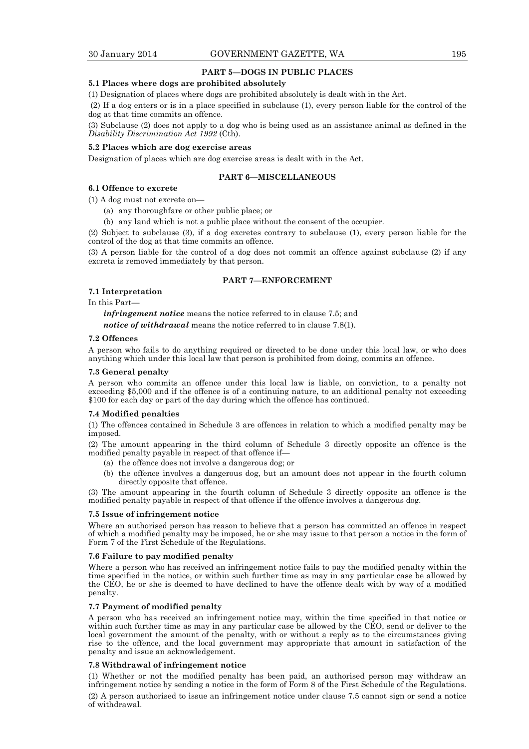## **PART 5—DOGS IN PUBLIC PLACES**

## **5.1 Places where dogs are prohibited absolutely**

(1) Designation of places where dogs are prohibited absolutely is dealt with in the Act.

 (2) If a dog enters or is in a place specified in subclause (1), every person liable for the control of the dog at that time commits an offence.

(3) Subclause (2) does not apply to a dog who is being used as an assistance animal as defined in the *Disability Discrimination Act 1992* (Cth).

## **5.2 Places which are dog exercise areas**

Designation of places which are dog exercise areas is dealt with in the Act.

## **PART 6—MISCELLANEOUS**

## **6.1 Offence to excrete**

(1) A dog must not excrete on—

(a) any thoroughfare or other public place; or

(b) any land which is not a public place without the consent of the occupier.

(2) Subject to subclause (3), if a dog excretes contrary to subclause (1), every person liable for the control of the dog at that time commits an offence.

(3) A person liable for the control of a dog does not commit an offence against subclause (2) if any excreta is removed immediately by that person.

## **PART 7—ENFORCEMENT**

#### **7.1 Interpretation**

In this Part—

*infringement notice* means the notice referred to in clause 7.5; and *notice of withdrawal* means the notice referred to in clause 7.8(1).

#### **7.2 Offences**

A person who fails to do anything required or directed to be done under this local law, or who does anything which under this local law that person is prohibited from doing, commits an offence.

#### **7.3 General penalty**

A person who commits an offence under this local law is liable, on conviction, to a penalty not exceeding \$5,000 and if the offence is of a continuing nature, to an additional penalty not exceeding \$100 for each day or part of the day during which the offence has continued.

#### **7.4 Modified penalties**

(1) The offences contained in Schedule 3 are offences in relation to which a modified penalty may be imposed.

(2) The amount appearing in the third column of Schedule 3 directly opposite an offence is the modified penalty payable in respect of that offence if—

- (a) the offence does not involve a dangerous dog; or
- (b) the offence involves a dangerous dog, but an amount does not appear in the fourth column directly opposite that offence.

(3) The amount appearing in the fourth column of Schedule 3 directly opposite an offence is the modified penalty payable in respect of that offence if the offence involves a dangerous dog.

#### **7.5 Issue of infringement notice**

Where an authorised person has reason to believe that a person has committed an offence in respect of which a modified penalty may be imposed, he or she may issue to that person a notice in the form of Form 7 of the First Schedule of the Regulations.

#### **7.6 Failure to pay modified penalty**

Where a person who has received an infringement notice fails to pay the modified penalty within the time specified in the notice, or within such further time as may in any particular case be allowed by the CEO, he or she is deemed to have declined to have the offence dealt with by way of a modified penalty.

#### **7.7 Payment of modified penalty**

A person who has received an infringement notice may, within the time specified in that notice or within such further time as may in any particular case be allowed by the CEO, send or deliver to the local government the amount of the penalty, with or without a reply as to the circumstances giving rise to the offence, and the local government may appropriate that amount in satisfaction of the penalty and issue an acknowledgement.

#### **7.8 Withdrawal of infringement notice**

(1) Whether or not the modified penalty has been paid, an authorised person may withdraw an infringement notice by sending a notice in the form of Form 8 of the First Schedule of the Regulations.

(2) A person authorised to issue an infringement notice under clause 7.5 cannot sign or send a notice of withdrawal.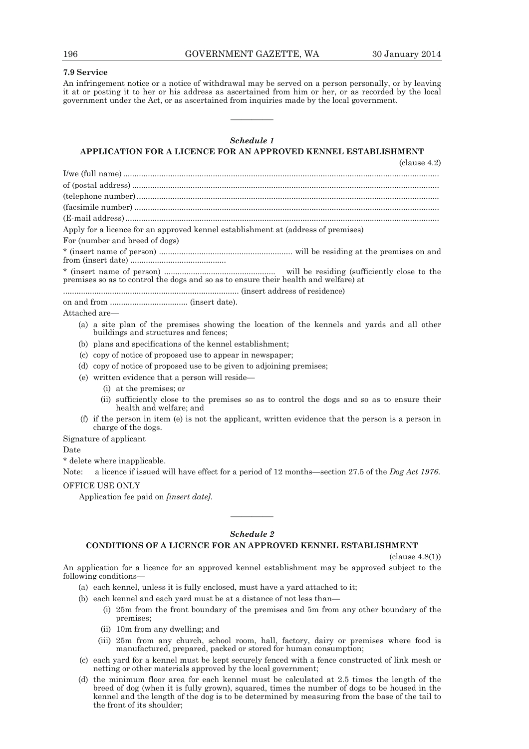## **7.9 Service**

An infringement notice or a notice of withdrawal may be served on a person personally, or by leaving it at or posting it to her or his address as ascertained from him or her, or as recorded by the local government under the Act, or as ascertained from inquiries made by the local government.

## *Schedule 1*

————

## **APPLICATION FOR A LICENCE FOR AN APPROVED KENNEL ESTABLISHMENT**

(clause 4.2)

| Apply for a licence for an approved kennel establishment at (address of premises)                                                   |
|-------------------------------------------------------------------------------------------------------------------------------------|
| For (number and breed of dogs)                                                                                                      |
|                                                                                                                                     |
| premises so as to control the dogs and so as to ensure their health and welfare) at                                                 |
|                                                                                                                                     |
|                                                                                                                                     |
| Attached are—                                                                                                                       |
| (a) a site plan of the premises showing the location of the kennels and yards and all other<br>buildings and structures and fences; |
| (b) plans and specifications of the kennel establishment;                                                                           |
| copy of notice of proposed use to appear in newspaper;<br>(c)                                                                       |
| copy of notice of proposed use to be given to adjoining premises;<br>(d)                                                            |
| written evidence that a person will reside—<br>(e)                                                                                  |
| (i) at the premises; or                                                                                                             |
| (ii) sufficiently close to the premises so as to control the dogs and so as to ensure their<br>health and welfare; and              |

 (f) if the person in item (e) is not the applicant, written evidence that the person is a person in charge of the dogs.

Signature of applicant

Date

\* delete where inapplicable.

Note: a licence if issued will have effect for a period of 12 months—section 27.5 of the *Dog Act 1976*. OFFICE USE ONLY

Application fee paid on *[insert date]*.

## *Schedule 2*

————

## **CONDITIONS OF A LICENCE FOR AN APPROVED KENNEL ESTABLISHMENT**

(clause 4.8(1))

An application for a licence for an approved kennel establishment may be approved subject to the following conditions—

(a) each kennel, unless it is fully enclosed, must have a yard attached to it;

- (b) each kennel and each yard must be at a distance of not less than—
	- (i) 25m from the front boundary of the premises and 5m from any other boundary of the premises;
	- (ii) 10m from any dwelling; and
	- (iii) 25m from any church, school room, hall, factory, dairy or premises where food is manufactured, prepared, packed or stored for human consumption;
- (c) each yard for a kennel must be kept securely fenced with a fence constructed of link mesh or netting or other materials approved by the local government;
- (d) the minimum floor area for each kennel must be calculated at 2.5 times the length of the breed of dog (when it is fully grown), squared, times the number of dogs to be housed in the kennel and the length of the dog is to be determined by measuring from the base of the tail to the front of its shoulder;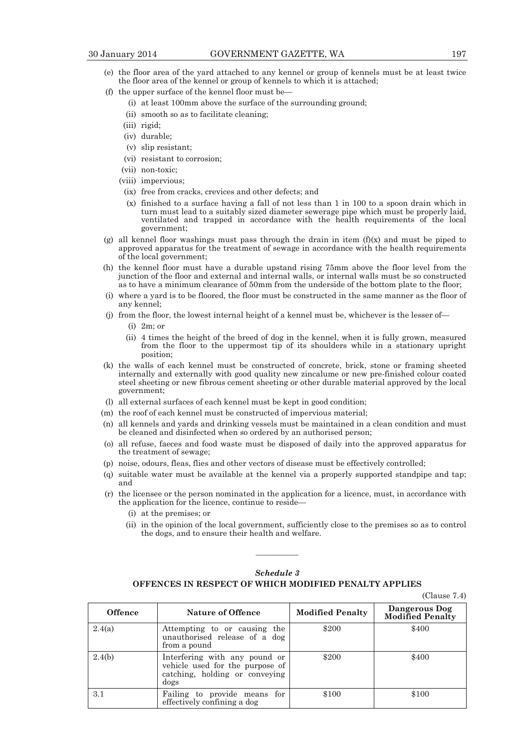- (e) the floor area of the yard attached to any kennel or group of kennels must be at least twice the floor area of the kennel or group of kennels to which it is attached;
- (f) the upper surface of the kennel floor must be—
	- (i) at least 100mm above the surface of the surrounding ground;
	- (ii) smooth so as to facilitate cleaning;
	- (iii) rigid;
	- (iv) durable;
	- (v) slip resistant;
	- (vi) resistant to corrosion;
	- (vii) non-toxic;
	- (viii) impervious;
	- (ix) free from cracks, crevices and other defects; and
	- (x) finished to a surface having a fall of not less than 1 in 100 to a spoon drain which in turn must lead to a suitably sized diameter sewerage pipe which must be properly laid, ventilated and trapped in accordance with the health requirements of the local government;
- (g) all kennel floor washings must pass through the drain in item (f)(x) and must be piped to approved apparatus for the treatment of sewage in accordance with the health requirements of the local government;
- (h) the kennel floor must have a durable upstand rising 75mm above the floor level from the junction of the floor and external and internal walls, or internal walls must be so constructed as to have a minimum clearance of 50mm from the underside of the bottom plate to the floor;
- (i) where a yard is to be floored, the floor must be constructed in the same manner as the floor of any kennel;
- (j) from the floor, the lowest internal height of a kennel must be, whichever is the lesser of—
	- (i) 2m; or
	- (ii) 4 times the height of the breed of dog in the kennel, when it is fully grown, measured from the floor to the uppermost tip of its shoulders while in a stationary upright position;
- (k) the walls of each kennel must be constructed of concrete, brick, stone or framing sheeted internally and externally with good quality new zincalume or new pre-finished colour coated steel sheeting or new fibrous cement sheeting or other durable material approved by the local government;
- (l) all external surfaces of each kennel must be kept in good condition;
- (m) the roof of each kennel must be constructed of impervious material;
- (n) all kennels and yards and drinking vessels must be maintained in a clean condition and must be cleaned and disinfected when so ordered by an authorised person;
- (o) all refuse, faeces and food waste must be disposed of daily into the approved apparatus for the treatment of sewage;
- (p) noise, odours, fleas, flies and other vectors of disease must be effectively controlled;
- (q) suitable water must be available at the kennel via a properly supported standpipe and tap; and
- (r) the licensee or the person nominated in the application for a licence, must, in accordance with the application for the licence, continue to reside—
	- (i) at the premises; or
	- (ii) in the opinion of the local government, sufficiently close to the premises so as to control the dogs, and to ensure their health and welfare.

## *Schedule 3*  **OFFENCES IN RESPECT OF WHICH MODIFIED PENALTY APPLIES**

————

(Clause 7.4)

| <b>Offence</b> | Nature of Offence                                                                                          | <b>Modified Penalty</b> | Dangerous Dog<br><b>Modified Penalty</b> |
|----------------|------------------------------------------------------------------------------------------------------------|-------------------------|------------------------------------------|
| 2.4(a)         | Attempting to or causing the<br>unauthorised release of a dog<br>from a pound                              | \$200                   | \$400                                    |
| 2.4(b)         | Interfering with any pound or<br>vehicle used for the purpose of<br>catching, holding or conveying<br>dogs | \$200                   | \$400                                    |
| 3.1            | Failing to provide means<br>for<br>effectively confining a dog                                             | \$100                   | \$100                                    |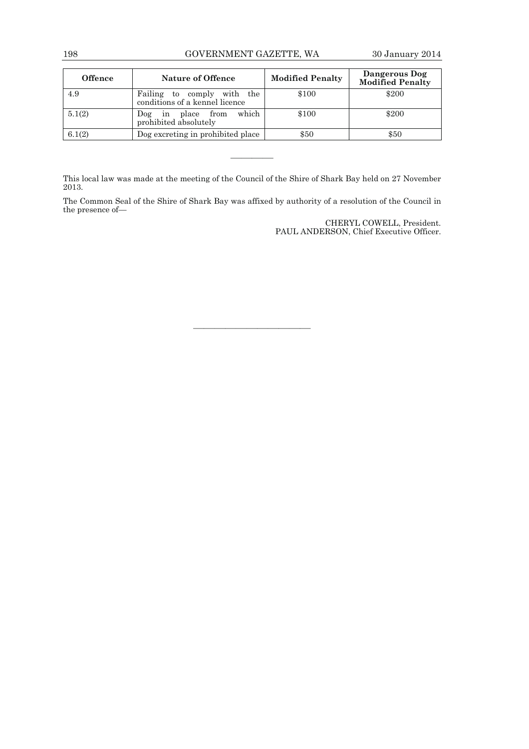## 198 GOVERNMENT GAZETTE, WA 30 January 2014

| <b>Offence</b> | <b>Nature of Offence</b>                                           | <b>Modified Penalty</b> | Dangerous Dog<br><b>Modified Penalty</b> |
|----------------|--------------------------------------------------------------------|-------------------------|------------------------------------------|
| 4.9            | Failing to<br>with the<br>comply<br>conditions of a kennel licence | \$100                   | \$200                                    |
| 5.1(2)         | which<br>in place from<br>$\log$<br>prohibited absolutely          | \$100                   | \$200                                    |
| 6.1(2)         | Dog excreting in prohibited place                                  | \$50                    | \$50                                     |

This local law was made at the meeting of the Council of the Shire of Shark Bay held on 27 November 2013.

————

The Common Seal of the Shire of Shark Bay was affixed by authority of a resolution of the Council in the presence of—

———————————

CHERYL COWELL, President. PAUL ANDERSON, Chief Executive Officer.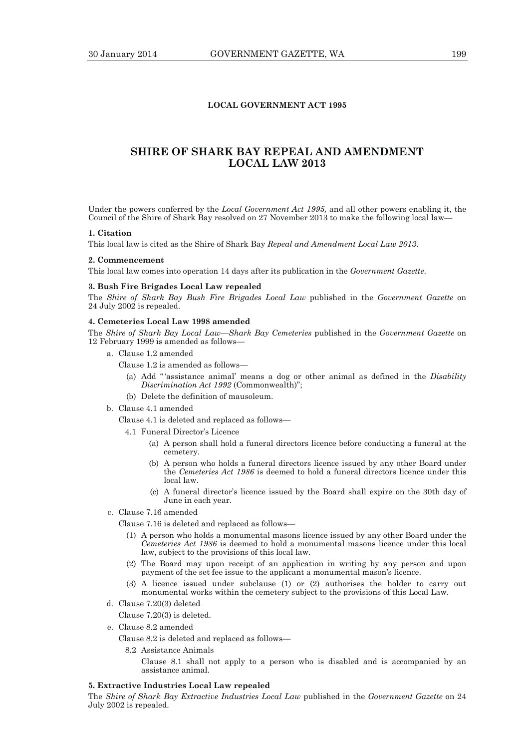## **LOCAL GOVERNMENT ACT 1995**

## **SHIRE OF SHARK BAY REPEAL AND AMENDMENT LOCAL LAW 2013**

Under the powers conferred by the *Local Government Act 1995,* and all other powers enabling it, the Council of the Shire of Shark Bay resolved on 27 November 2013 to make the following local law—

#### **1. Citation**

This local law is cited as the Shire of Shark Bay *Repeal and Amendment Local Law 2013*.

#### **2. Commencement**

This local law comes into operation 14 days after its publication in the *Government Gazette*.

## **3. Bush Fire Brigades Local Law repealed**

The *Shire of Shark Bay Bush Fire Brigades Local Law* published in the *Government Gazette* on 24 July 2002 is repealed.

#### **4. Cemeteries Local Law 1998 amended**

The *Shire of Shark Bay Local Law—Shark Bay Cemeteries* published in the *Government Gazette* on 12 February 1999 is amended as follows—

a. Clause 1.2 amended

Clause 1.2 is amended as follows—

- (a) Add "'assistance animal' means a dog or other animal as defined in the *Disability Discrimination Act 1992* (Commonwealth)";
- (b) Delete the definition of mausoleum.
- b. Clause 4.1 amended
	- Clause 4.1 is deleted and replaced as follows—

4.1 Funeral Director's Licence

- (a) A person shall hold a funeral directors licence before conducting a funeral at the cemetery.
- (b) A person who holds a funeral directors licence issued by any other Board under the *Cemeteries Act 1986* is deemed to hold a funeral directors licence under this local law.
- (c) A funeral director's licence issued by the Board shall expire on the 30th day of June in each year.
- c. Clause 7.16 amended

Clause 7.16 is deleted and replaced as follows—

- (1) A person who holds a monumental masons licence issued by any other Board under the *Cemeteries Act 1986* is deemed to hold a monumental masons licence under this local law, subject to the provisions of this local law.
- (2) The Board may upon receipt of an application in writing by any person and upon payment of the set fee issue to the applicant a monumental mason's licence.
- (3) A licence issued under subclause (1) or (2) authorises the holder to carry out monumental works within the cemetery subject to the provisions of this Local Law.
- d. Clause 7.20(3) deleted

Clause 7.20(3) is deleted.

e. Clause 8.2 amended

Clause 8.2 is deleted and replaced as follows—

8.2 Assistance Animals

 Clause 8.1 shall not apply to a person who is disabled and is accompanied by an assistance animal.

## **5. Extractive Industries Local Law repealed**

The *Shire of Shark Bay Extractive Industries Local Law* published in the *Government Gazette* on 24 July 2002 is repealed.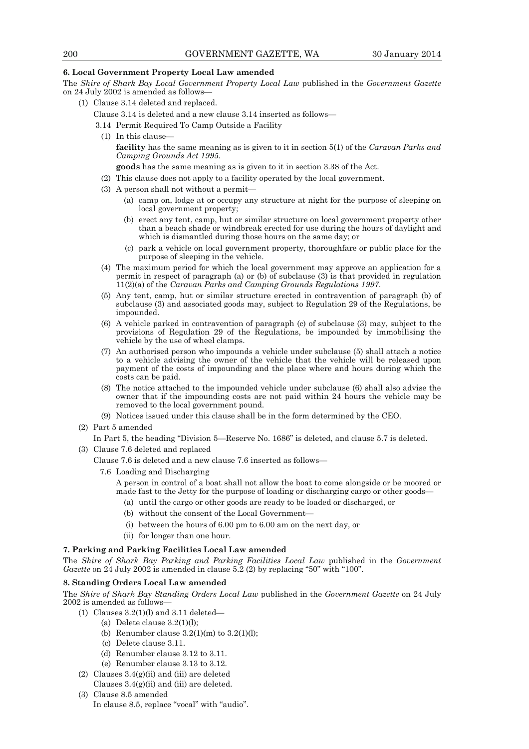#### **6. Local Government Property Local Law amended**

The *Shire of Shark Bay Local Government Property Local Law* published in the *Government Gazette* on 24 July 2002 is amended as follows—

(1) Clause 3.14 deleted and replaced.

Clause 3.14 is deleted and a new clause 3.14 inserted as follows—

- 3.14 Permit Required To Camp Outside a Facility
- (1) In this clause **facility** has the same meaning as is given to it in section 5(1) of the *Caravan Parks and Camping Grounds Act 1995*.

**goods** has the same meaning as is given to it in section 3.38 of the Act.

- (2) This clause does not apply to a facility operated by the local government.
- (3) A person shall not without a permit—
	- (a) camp on, lodge at or occupy any structure at night for the purpose of sleeping on local government property;
	- (b) erect any tent, camp, hut or similar structure on local government property other than a beach shade or windbreak erected for use during the hours of daylight and which is dismantled during those hours on the same day; or
	- (c) park a vehicle on local government property, thoroughfare or public place for the purpose of sleeping in the vehicle.
- (4) The maximum period for which the local government may approve an application for a permit in respect of paragraph (a) or (b) of subclause (3) is that provided in regulation 11(2)(a) of the *Caravan Parks and Camping Grounds Regulations 1997*.
- (5) Any tent, camp, hut or similar structure erected in contravention of paragraph (b) of subclause (3) and associated goods may, subject to Regulation 29 of the Regulations, be impounded.
- (6) A vehicle parked in contravention of paragraph (c) of subclause (3) may, subject to the provisions of Regulation 29 of the Regulations, be impounded by immobilising the vehicle by the use of wheel clamps.
- (7) An authorised person who impounds a vehicle under subclause (5) shall attach a notice to a vehicle advising the owner of the vehicle that the vehicle will be released upon payment of the costs of impounding and the place where and hours during which the costs can be paid.
- (8) The notice attached to the impounded vehicle under subclause (6) shall also advise the owner that if the impounding costs are not paid within 24 hours the vehicle may be removed to the local government pound.
- (9) Notices issued under this clause shall be in the form determined by the CEO.
- (2) Part 5 amended
	- In Part 5, the heading "Division 5—Reserve No. 1686" is deleted, and clause 5.7 is deleted.
- (3) Clause 7.6 deleted and replaced

Clause 7.6 is deleted and a new clause 7.6 inserted as follows—

7.6 Loading and Discharging

 A person in control of a boat shall not allow the boat to come alongside or be moored or made fast to the Jetty for the purpose of loading or discharging cargo or other goods—

- (a) until the cargo or other goods are ready to be loaded or discharged, or
- (b) without the consent of the Local Government—
- (i) between the hours of 6.00 pm to 6.00 am on the next day, or
- (ii) for longer than one hour.

## **7. Parking and Parking Facilities Local Law amended**

The *Shire of Shark Bay Parking and Parking Facilities Local Law* published in the *Government Gazette* on 24 July 2002 is amended in clause 5.2 (2) by replacing "50" with "100".

#### **8. Standing Orders Local Law amended**

The *Shire of Shark Bay Standing Orders Local Law* published in the *Government Gazette* on 24 July 2002 is amended as follows—

- (1) Clauses  $3.2(1)(l)$  and  $3.11$  deleted—
	- (a) Delete clause  $3.2(1)(l)$ ;
	- (b) Renumber clause  $3.2(1)(m)$  to  $3.2(1)(l)$ ;
	- (c) Delete clause 3.11.
	- (d) Renumber clause 3.12 to 3.11.
	- (e) Renumber clause 3.13 to 3.12.
- (2) Clauses 3.4(g)(ii) and (iii) are deleted Clauses  $3.4(g)(ii)$  and (iii) are deleted.
- (3) Clause 8.5 amended In clause 8.5, replace "vocal" with "audio".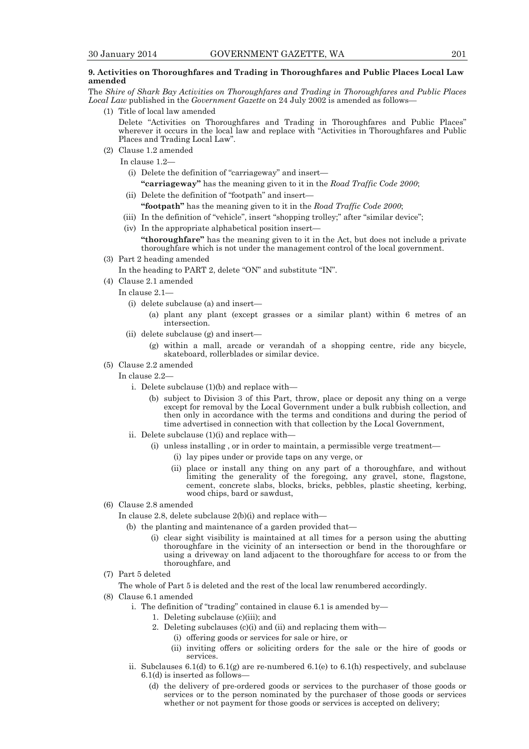## **9. Activities on Thoroughfares and Trading in Thoroughfares and Public Places Local Law amended**

The *Shire of Shark Bay Activities on Thoroughfares and Trading in Thoroughfares and Public Places Local Law* published in the *Government Gazette* on 24 July 2002 is amended as follows—

(1) Title of local law amended

 Delete "Activities on Thoroughfares and Trading in Thoroughfares and Public Places" wherever it occurs in the local law and replace with "Activities in Thoroughfares and Public Places and Trading Local Law".

(2) Clause 1.2 amended

In clause 1.2—

- (i) Delete the definition of "carriageway" and insert—
- **"carriageway"** has the meaning given to it in the *Road Traffic Code 2000*;
- (ii) Delete the definition of "footpath" and insert—  **"footpath"** has the meaning given to it in the *Road Traffic Code 2000*;
- (iii) In the definition of "vehicle", insert "shopping trolley;" after "similar device";
- (iv) In the appropriate alphabetical position insert—

 **"thoroughfare"** has the meaning given to it in the Act, but does not include a private thoroughfare which is not under the management control of the local government.

(3) Part 2 heading amended

In the heading to PART 2, delete "ON" and substitute "IN".

- (4) Clause 2.1 amended
	- In clause 2.1—
		- (i) delete subclause (a) and insert—
			- (a) plant any plant (except grasses or a similar plant) within 6 metres of an intersection.
		- (ii) delete subclause (g) and insert—
			- (g) within a mall, arcade or verandah of a shopping centre, ride any bicycle, skateboard, rollerblades or similar device.
- (5) Clause 2.2 amended
	- In clause 2.2
		- i. Delete subclause (1)(b) and replace with—
			- (b) subject to Division 3 of this Part, throw, place or deposit any thing on a verge except for removal by the Local Government under a bulk rubbish collection, and then only in accordance with the terms and conditions and during the period of time advertised in connection with that collection by the Local Government,
		- ii. Delete subclause  $(1)(i)$  and replace with-
			- (i) unless installing , or in order to maintain, a permissible verge treatment—
				- (i) lay pipes under or provide taps on any verge, or
				- (ii) place or install any thing on any part of a thoroughfare, and without limiting the generality of the foregoing, any gravel, stone, flagstone, cement, concrete slabs, blocks, bricks, pebbles, plastic sheeting, kerbing, wood chips, bard or sawdust,
- (6) Clause 2.8 amended

In clause 2.8, delete subclause 2(b)(i) and replace with—

- (b) the planting and maintenance of a garden provided that—
	- (i) clear sight visibility is maintained at all times for a person using the abutting thoroughfare in the vicinity of an intersection or bend in the thoroughfare or using a driveway on land adjacent to the thoroughfare for access to or from the thoroughfare, and
- (7) Part 5 deleted

The whole of Part 5 is deleted and the rest of the local law renumbered accordingly.

- (8) Clause 6.1 amended
	- i. The definition of "trading" contained in clause 6.1 is amended by—
		- 1. Deleting subclause (c)(iii); and
			- 2. Deleting subclauses (c)(i) and (ii) and replacing them with—
				- (i) offering goods or services for sale or hire, or
				- (ii) inviting offers or soliciting orders for the sale or the hire of goods or services.
	- ii. Subclauses  $6.1(d)$  to  $6.1(g)$  are re-numbered  $6.1(e)$  to  $6.1(h)$  respectively, and subclause 6.1(d) is inserted as follows—
		- (d) the delivery of pre-ordered goods or services to the purchaser of those goods or services or to the person nominated by the purchaser of those goods or services whether or not payment for those goods or services is accepted on delivery;